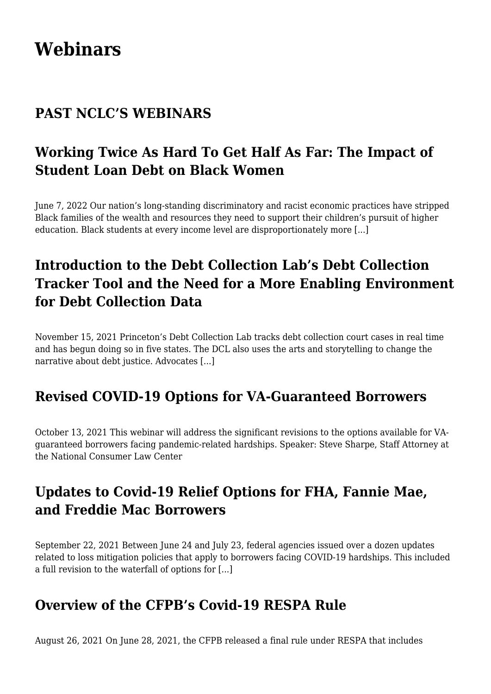# **[Webinars](https://www.nclc.org/webinars)**

#### **PAST NCLC'S WEBINARS**

# **[Working Twice As Hard To Get Half As Far: The Impact of](https://www.nclc.org/webinars/working-twice-as-hard-to-get-half-as-far-the-impact-of-student-loan-debt-on-black-women.html) [Student Loan Debt on Black Women](https://www.nclc.org/webinars/working-twice-as-hard-to-get-half-as-far-the-impact-of-student-loan-debt-on-black-women.html)**

June 7, 2022 Our nation's long-standing discriminatory and racist economic practices have stripped Black families of the wealth and resources they need to support their children's pursuit of higher education. Black students at every income level are disproportionately more [...]

# **[Introduction to the Debt Collection Lab's Debt Collection](https://www.nclc.org/webinars/introduction-to-the-debt-collection-labs-debt-collection-tracker-tool-and-the-need-for-a-more-enabling-environment-for-debt-collection-data.html) [Tracker Tool and the Need for a More Enabling Environment](https://www.nclc.org/webinars/introduction-to-the-debt-collection-labs-debt-collection-tracker-tool-and-the-need-for-a-more-enabling-environment-for-debt-collection-data.html) [for Debt Collection Data](https://www.nclc.org/webinars/introduction-to-the-debt-collection-labs-debt-collection-tracker-tool-and-the-need-for-a-more-enabling-environment-for-debt-collection-data.html)**

November 15, 2021 Princeton's Debt Collection Lab tracks debt collection court cases in real time and has begun doing so in five states. The DCL also uses the arts and storytelling to change the narrative about debt justice. Advocates [...]

#### **[Revised COVID-19 Options for VA-Guaranteed Borrowers](https://www.nclc.org/webinars/revised-covid-19-options-for-va-guaranteed-borrowers.html)**

October 13, 2021 This webinar will address the significant revisions to the options available for VAguaranteed borrowers facing pandemic-related hardships. Speaker: Steve Sharpe, Staff Attorney at the National Consumer Law Center

#### **[Updates to Covid-19 Relief Options for FHA, Fannie Mae,](https://www.nclc.org/webinars/updates-to-covid-19-relief-options-for-fha-fannie-mae-and-freddie-mac-borrowers.html) [and Freddie Mac Borrowers](https://www.nclc.org/webinars/updates-to-covid-19-relief-options-for-fha-fannie-mae-and-freddie-mac-borrowers.html)**

September 22, 2021 Between June 24 and July 23, federal agencies issued over a dozen updates related to loss mitigation policies that apply to borrowers facing COVID-19 hardships. This included a full revision to the waterfall of options for [...]

#### **[Overview of the CFPB's Covid-19 RESPA Rule](https://www.nclc.org/webinars/overview-of-the-cfpbs-covid-19-respa-rule.html)**

August 26, 2021 On June 28, 2021, the CFPB released a final rule under RESPA that includes